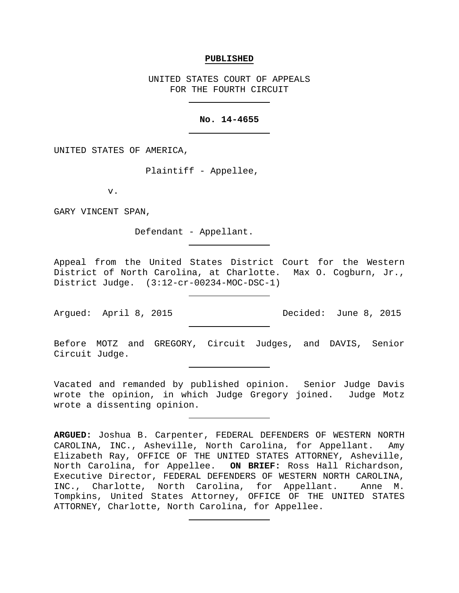#### **PUBLISHED**

UNITED STATES COURT OF APPEALS FOR THE FOURTH CIRCUIT

#### **No. 14-4655**

UNITED STATES OF AMERICA,

Plaintiff - Appellee,

v.

GARY VINCENT SPAN,

Defendant - Appellant.

Appeal from the United States District Court for the Western District of North Carolina, at Charlotte. Max O. Cogburn, Jr., District Judge. (3:12-cr-00234-MOC-DSC-1)

Argued: April 8, 2015 Decided: June 8, 2015

Before MOTZ and GREGORY, Circuit Judges, and DAVIS, Senior Circuit Judge.

Vacated and remanded by published opinion. Senior Judge Davis wrote the opinion, in which Judge Gregory joined. Judge Motz wrote a dissenting opinion.

**ARGUED:** Joshua B. Carpenter, FEDERAL DEFENDERS OF WESTERN NORTH CAROLINA, INC., Asheville, North Carolina, for Appellant. Amy Elizabeth Ray, OFFICE OF THE UNITED STATES ATTORNEY, Asheville, North Carolina, for Appellee. **ON BRIEF:** Ross Hall Richardson, Executive Director, FEDERAL DEFENDERS OF WESTERN NORTH CAROLINA, INC., Charlotte, North Carolina, for Appellant. Anne M. Tompkins, United States Attorney, OFFICE OF THE UNITED STATES ATTORNEY, Charlotte, North Carolina, for Appellee.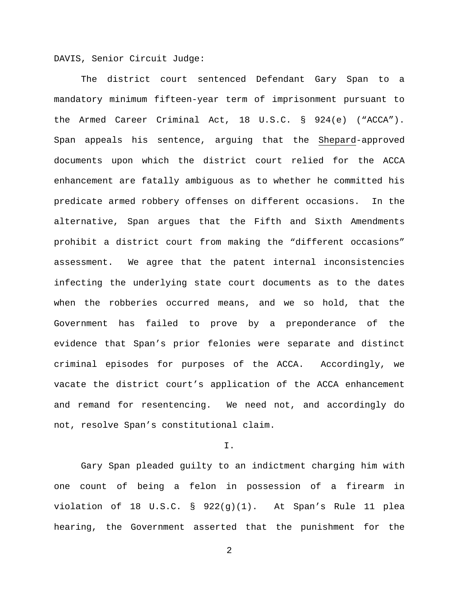DAVIS, Senior Circuit Judge:

The district court sentenced Defendant Gary Span to a mandatory minimum fifteen-year term of imprisonment pursuant to the Armed Career Criminal Act, 18 U.S.C. § 924(e) ("ACCA"). Span appeals his sentence, arguing that the Shepard-approved documents upon which the district court relied for the ACCA enhancement are fatally ambiguous as to whether he committed his predicate armed robbery offenses on different occasions. In the alternative, Span argues that the Fifth and Sixth Amendments prohibit a district court from making the "different occasions" assessment. We agree that the patent internal inconsistencies infecting the underlying state court documents as to the dates when the robberies occurred means, and we so hold, that the Government has failed to prove by a preponderance of the evidence that Span's prior felonies were separate and distinct criminal episodes for purposes of the ACCA. Accordingly, we vacate the district court's application of the ACCA enhancement and remand for resentencing. We need not, and accordingly do not, resolve Span's constitutional claim.

I.

Gary Span pleaded guilty to an indictment charging him with one count of being a felon in possession of a firearm in violation of 18 U.S.C. § 922(g)(1). At Span's Rule 11 plea hearing, the Government asserted that the punishment for the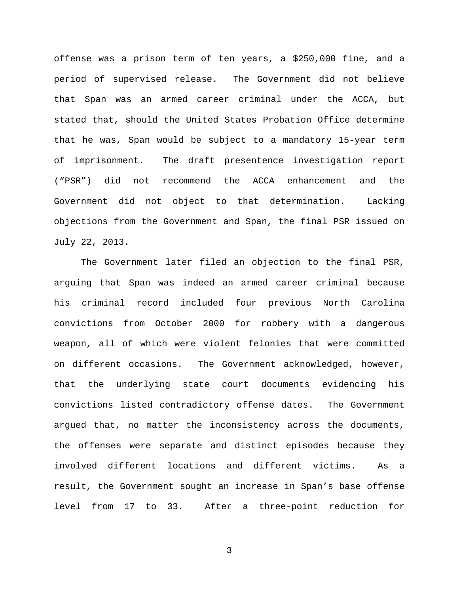offense was a prison term of ten years, a \$250,000 fine, and a period of supervised release. The Government did not believe that Span was an armed career criminal under the ACCA, but stated that, should the United States Probation Office determine that he was, Span would be subject to a mandatory 15-year term of imprisonment. The draft presentence investigation report ("PSR") did not recommend the ACCA enhancement and the Government did not object to that determination. Lacking objections from the Government and Span, the final PSR issued on July 22, 2013.

The Government later filed an objection to the final PSR, arguing that Span was indeed an armed career criminal because his criminal record included four previous North Carolina convictions from October 2000 for robbery with a dangerous weapon, all of which were violent felonies that were committed on different occasions. The Government acknowledged, however, that the underlying state court documents evidencing his convictions listed contradictory offense dates. The Government argued that, no matter the inconsistency across the documents, the offenses were separate and distinct episodes because they involved different locations and different victims. As a result, the Government sought an increase in Span's base offense level from 17 to 33. After a three-point reduction for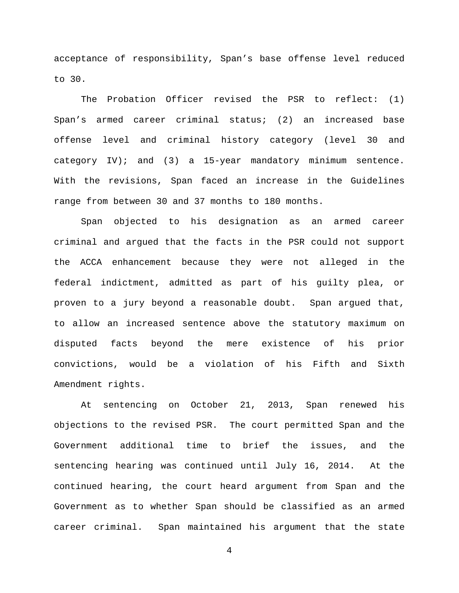acceptance of responsibility, Span's base offense level reduced to 30.

The Probation Officer revised the PSR to reflect: (1) Span's armed career criminal status; (2) an increased base offense level and criminal history category (level 30 and category IV); and (3) a 15-year mandatory minimum sentence. With the revisions, Span faced an increase in the Guidelines range from between 30 and 37 months to 180 months.

Span objected to his designation as an armed career criminal and argued that the facts in the PSR could not support the ACCA enhancement because they were not alleged in the federal indictment, admitted as part of his guilty plea, or proven to a jury beyond a reasonable doubt. Span argued that, to allow an increased sentence above the statutory maximum on disputed facts beyond the mere existence of his prior convictions, would be a violation of his Fifth and Sixth Amendment rights.

At sentencing on October 21, 2013, Span renewed his objections to the revised PSR. The court permitted Span and the Government additional time to brief the issues, and the sentencing hearing was continued until July 16, 2014. At the continued hearing, the court heard argument from Span and the Government as to whether Span should be classified as an armed career criminal. Span maintained his argument that the state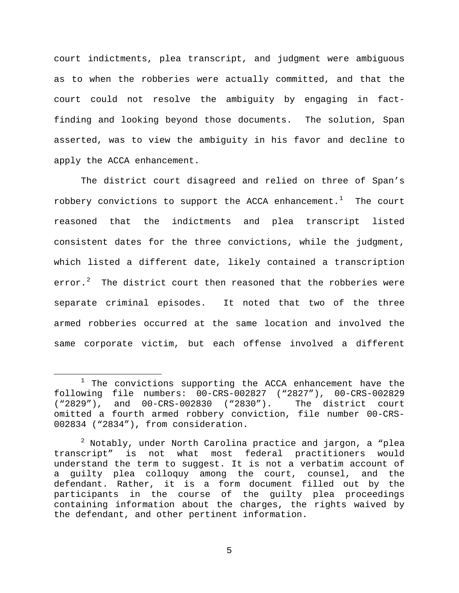court indictments, plea transcript, and judgment were ambiguous as to when the robberies were actually committed, and that the court could not resolve the ambiguity by engaging in factfinding and looking beyond those documents. The solution, Span asserted, was to view the ambiguity in his favor and decline to apply the ACCA enhancement.

The district court disagreed and relied on three of Span's robbery convictions to support the ACCA enhancement.<sup>[1](#page-4-0)</sup> The court reasoned that the indictments and plea transcript listed consistent dates for the three convictions, while the judgment, which listed a different date, likely contained a transcription error.<sup>[2](#page-4-1)</sup> The district court then reasoned that the robberies were separate criminal episodes. It noted that two of the three armed robberies occurred at the same location and involved the same corporate victim, but each offense involved a different

Ĩ.

<span id="page-4-0"></span> $1$  The convictions supporting the ACCA enhancement have the following file numbers: 00-CRS-002827 ("2827"), 00-CRS-002829<br>("2829"), and 00-CRS-002830 ("2830"). The district court  $("2829")$ , and  $00-CRS-002830$   $("2830")$ . omitted a fourth armed robbery conviction, file number 00-CRS-002834 ("2834"), from consideration.

<span id="page-4-1"></span> $2$  Notably, under North Carolina practice and jargon, a "plea transcript" is not what most federal practitioners would understand the term to suggest. It is not a verbatim account of a guilty plea colloquy among the court, counsel, and the defendant. Rather, it is a form document filled out by the participants in the course of the guilty plea proceedings containing information about the charges, the rights waived by the defendant, and other pertinent information.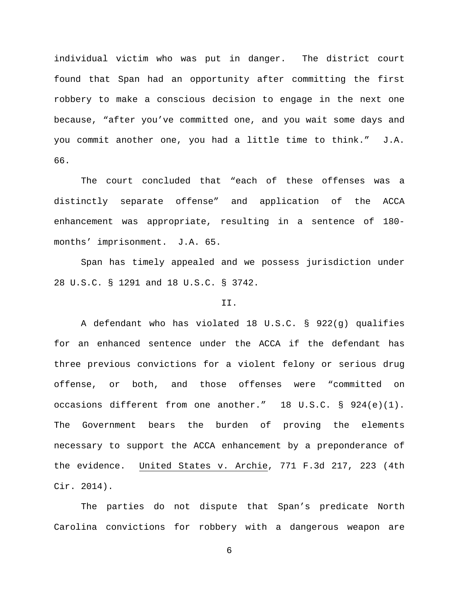individual victim who was put in danger. The district court found that Span had an opportunity after committing the first robbery to make a conscious decision to engage in the next one because, "after you've committed one, and you wait some days and you commit another one, you had a little time to think." J.A. 66.

The court concluded that "each of these offenses was a distinctly separate offense" and application of the ACCA enhancement was appropriate, resulting in a sentence of 180 months' imprisonment. J.A. 65.

Span has timely appealed and we possess jurisdiction under 28 U.S.C. § 1291 and 18 U.S.C. § 3742.

## II.

A defendant who has violated 18 U.S.C. § 922(g) qualifies for an enhanced sentence under the ACCA if the defendant has three previous convictions for a violent felony or serious drug offense, or both, and those offenses were "committed on occasions different from one another." 18 U.S.C. § 924(e)(1). The Government bears the burden of proving the elements necessary to support the ACCA enhancement by a preponderance of the evidence. United States v. Archie, 771 F.3d 217, 223 (4th Cir. 2014).

The parties do not dispute that Span's predicate North Carolina convictions for robbery with a dangerous weapon are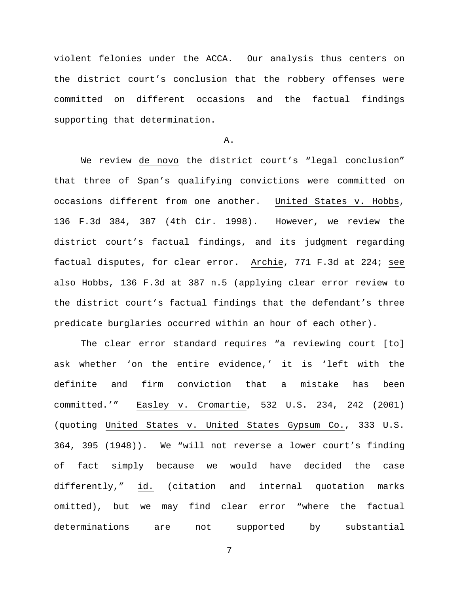violent felonies under the ACCA. Our analysis thus centers on the district court's conclusion that the robbery offenses were committed on different occasions and the factual findings supporting that determination.

## A.

We review de novo the district court's "legal conclusion" that three of Span's qualifying convictions were committed on occasions different from one another. United States v. Hobbs, 136 F.3d 384, 387 (4th Cir. 1998). However, we review the district court's factual findings, and its judgment regarding factual disputes, for clear error. Archie, 771 F.3d at 224; see also Hobbs, 136 F.3d at 387 n.5 (applying clear error review to the district court's factual findings that the defendant's three predicate burglaries occurred within an hour of each other).

The clear error standard requires "a reviewing court [to] ask whether 'on the entire evidence,' it is 'left with the definite and firm conviction that a mistake has been committed.'" Easley v. Cromartie, 532 U.S. 234, 242 (2001) (quoting United States v. United States Gypsum Co., 333 U.S. 364, 395 (1948)). We "will not reverse a lower court's finding of fact simply because we would have decided the case differently," id. (citation and internal quotation marks omitted), but we may find clear error "where the factual determinations are not supported by substantial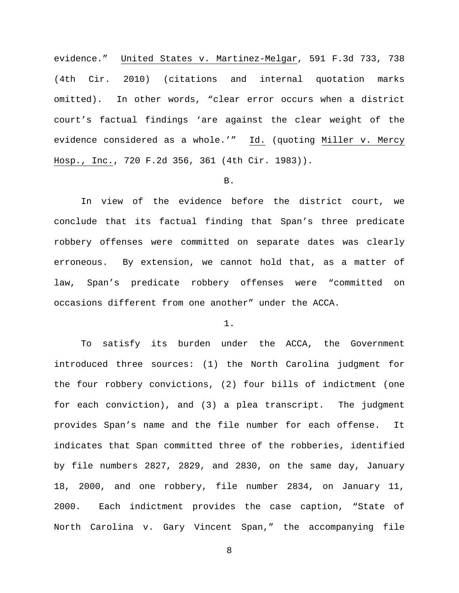evidence." United States v. Martinez-Melgar, 591 F.3d 733, 738 (4th Cir. 2010) (citations and internal quotation marks omitted). In other words, "clear error occurs when a district court's factual findings 'are against the clear weight of the evidence considered as a whole.'" Id. (quoting Miller v. Mercy Hosp., Inc., 720 F.2d 356, 361 (4th Cir. 1983)).

## B.

In view of the evidence before the district court, we conclude that its factual finding that Span's three predicate robbery offenses were committed on separate dates was clearly erroneous. By extension, we cannot hold that, as a matter of law, Span's predicate robbery offenses were "committed on occasions different from one another" under the ACCA.

#### 1.

To satisfy its burden under the ACCA, the Government introduced three sources: (1) the North Carolina judgment for the four robbery convictions, (2) four bills of indictment (one for each conviction), and (3) a plea transcript. The judgment provides Span's name and the file number for each offense. It indicates that Span committed three of the robberies, identified by file numbers 2827, 2829, and 2830, on the same day, January 18, 2000, and one robbery, file number 2834, on January 11, 2000. Each indictment provides the case caption, "State of North Carolina v. Gary Vincent Span," the accompanying file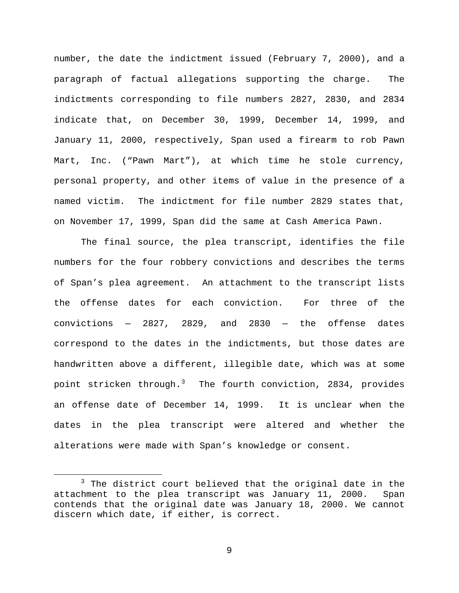number, the date the indictment issued (February 7, 2000), and a paragraph of factual allegations supporting the charge. The indictments corresponding to file numbers 2827, 2830, and 2834 indicate that, on December 30, 1999, December 14, 1999, and January 11, 2000, respectively, Span used a firearm to rob Pawn Mart, Inc. ("Pawn Mart"), at which time he stole currency, personal property, and other items of value in the presence of a named victim. The indictment for file number 2829 states that, on November 17, 1999, Span did the same at Cash America Pawn.

The final source, the plea transcript, identifies the file numbers for the four robbery convictions and describes the terms of Span's plea agreement. An attachment to the transcript lists the offense dates for each conviction. For three of the convictions — 2827, 2829, and 2830 — the offense dates correspond to the dates in the indictments, but those dates are handwritten above a different, illegible date, which was at some point stricken through.<sup>[3](#page-8-0)</sup> The fourth conviction, 2834, provides an offense date of December 14, 1999. It is unclear when the dates in the plea transcript were altered and whether the alterations were made with Span's knowledge or consent.

Ĩ.

<span id="page-8-0"></span><sup>&</sup>lt;sup>3</sup> The district court believed that the original date in the attachment to the plea transcript was January 11, 2000. Span contends that the original date was January 18, 2000. We cannot discern which date, if either, is correct.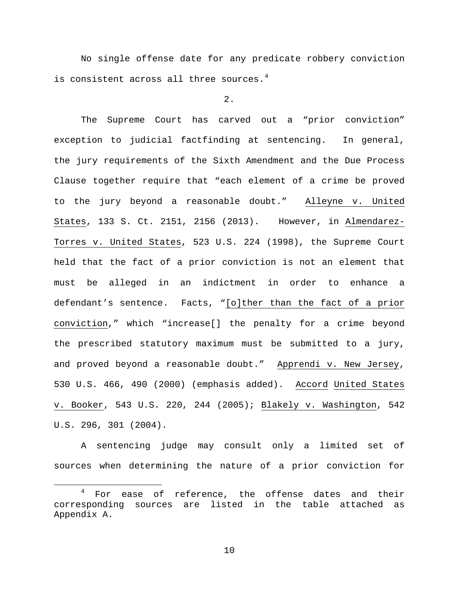No single offense date for any predicate robbery conviction is consistent across all three sources.<sup>[4](#page-9-0)</sup>

2.

The Supreme Court has carved out a "prior conviction" exception to judicial factfinding at sentencing. In general, the jury requirements of the Sixth Amendment and the Due Process Clause together require that "each element of a crime be proved to the jury beyond a reasonable doubt." Alleyne v. United States, 133 S. Ct. 2151, 2156 (2013). However, in Almendarez-Torres v. United States, 523 U.S. 224 (1998), the Supreme Court held that the fact of a prior conviction is not an element that must be alleged in an indictment in order to enhance a defendant's sentence. Facts, "[o]ther than the fact of a prior conviction," which "increase[] the penalty for a crime beyond the prescribed statutory maximum must be submitted to a jury, and proved beyond a reasonable doubt." Apprendi v. New Jersey, 530 U.S. 466, 490 (2000) (emphasis added). Accord United States v. Booker, 543 U.S. 220, 244 (2005); Blakely v. Washington, 542 U.S. 296, 301 (2004).

A sentencing judge may consult only a limited set of sources when determining the nature of a prior conviction for

<span id="page-9-0"></span><sup>&</sup>lt;sup>4</sup> For ease of reference, the offense dates and their corresponding sources are listed in the table attached as Appendix A. Ĩ.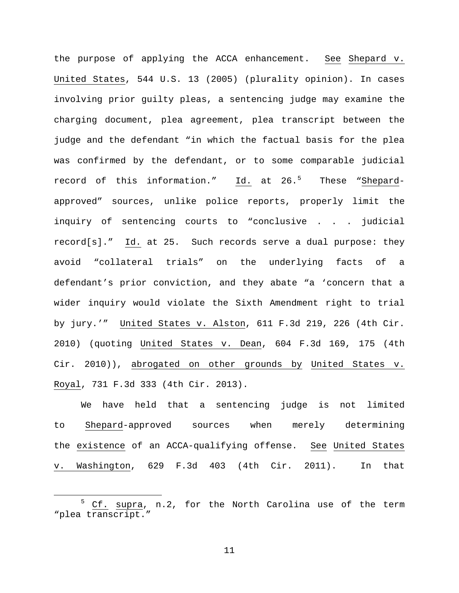the purpose of applying the ACCA enhancement. See Shepard v. United States, 544 U.S. 13 (2005) (plurality opinion). In cases involving prior guilty pleas, a sentencing judge may examine the charging document, plea agreement, plea transcript between the judge and the defendant "in which the factual basis for the plea was confirmed by the defendant, or to some comparable judicial record of this information." <u>Id.</u> at 26.<sup>[5](#page-10-0)</sup> These "<u>Shepard</u>approved" sources, unlike police reports, properly limit the inquiry of sentencing courts to "conclusive . . . judicial record[s]." Id. at 25. Such records serve a dual purpose: they avoid "collateral trials" on the underlying facts of a defendant's prior conviction, and they abate "a 'concern that a wider inquiry would violate the Sixth Amendment right to trial by jury.'" United States v. Alston, 611 F.3d 219, 226 (4th Cir. 2010) (quoting United States v. Dean, 604 F.3d 169, 175 (4th Cir. 2010)), abrogated on other grounds by United States v. Royal, 731 F.3d 333 (4th Cir. 2013).

We have held that a sentencing judge is not limited to Shepard-approved sources when merely determining the existence of an ACCA-qualifying offense. See United States v. Washington, 629 F.3d 403 (4th Cir. 2011). In that

<span id="page-10-0"></span><sup>5</sup> Cf. supra, n.2, for the North Carolina use of the term "plea transcript." Ĩ.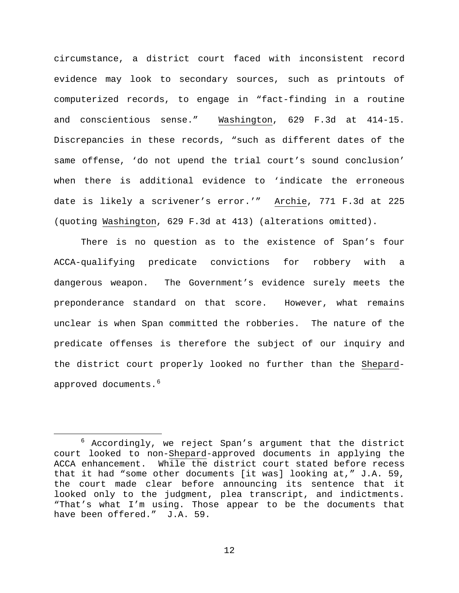circumstance, a district court faced with inconsistent record evidence may look to secondary sources, such as printouts of computerized records, to engage in "fact-finding in a routine and conscientious sense." Washington, 629 F.3d at 414-15. Discrepancies in these records, "such as different dates of the same offense, 'do not upend the trial court's sound conclusion' when there is additional evidence to 'indicate the erroneous date is likely a scrivener's error.'" Archie, 771 F.3d at 225 (quoting Washington, 629 F.3d at 413) (alterations omitted).

There is no question as to the existence of Span's four ACCA-qualifying predicate convictions for robbery with a dangerous weapon. The Government's evidence surely meets the preponderance standard on that score. However, what remains unclear is when Span committed the robberies. The nature of the predicate offenses is therefore the subject of our inquiry and the district court properly looked no further than the Shepardapproved documents. $^6$  $^6$ 

Ĩ.

<span id="page-11-0"></span><sup>6</sup> Accordingly, we reject Span's argument that the district court looked to non-Shepard-approved documents in applying the ACCA enhancement. While the district court stated before recess that it had "some other documents [it was] looking at," J.A. 59, the court made clear before announcing its sentence that it looked only to the judgment, plea transcript, and indictments. "That's what I'm using. Those appear to be the documents that have been offered." J.A. 59.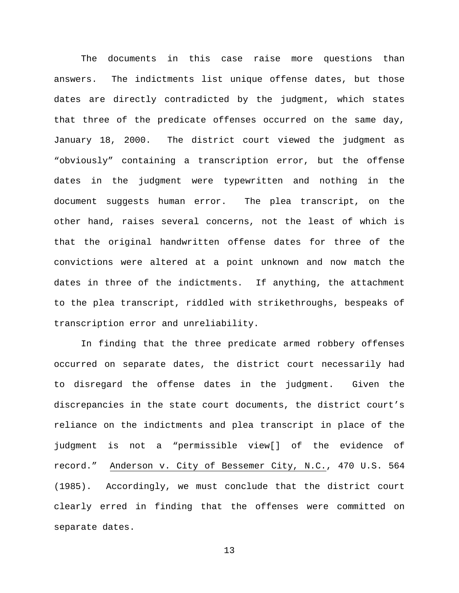The documents in this case raise more questions than answers. The indictments list unique offense dates, but those dates are directly contradicted by the judgment, which states that three of the predicate offenses occurred on the same day, January 18, 2000. The district court viewed the judgment as "obviously" containing a transcription error, but the offense dates in the judgment were typewritten and nothing in the document suggests human error. The plea transcript, on the other hand, raises several concerns, not the least of which is that the original handwritten offense dates for three of the convictions were altered at a point unknown and now match the dates in three of the indictments. If anything, the attachment to the plea transcript, riddled with strikethroughs, bespeaks of transcription error and unreliability.

In finding that the three predicate armed robbery offenses occurred on separate dates, the district court necessarily had to disregard the offense dates in the judgment. Given the discrepancies in the state court documents, the district court's reliance on the indictments and plea transcript in place of the judgment is not a "permissible view[] of the evidence of record." Anderson v. City of Bessemer City, N.C., 470 U.S. 564 (1985). Accordingly, we must conclude that the district court clearly erred in finding that the offenses were committed on separate dates.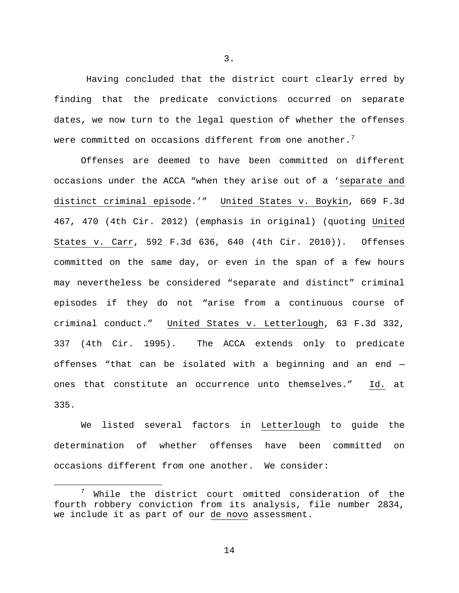Having concluded that the district court clearly erred by finding that the predicate convictions occurred on separate dates, we now turn to the legal question of whether the offenses were committed on occasions different from one another. $^7$  $^7$ 

Offenses are deemed to have been committed on different occasions under the ACCA "when they arise out of a 'separate and distinct criminal episode.'" United States v. Boykin, 669 F.3d 467, 470 (4th Cir. 2012) (emphasis in original) (quoting United States v. Carr, 592 F.3d 636, 640 (4th Cir. 2010)). Offenses committed on the same day, or even in the span of a few hours may nevertheless be considered "separate and distinct" criminal episodes if they do not "arise from a continuous course of criminal conduct." United States v. Letterlough, 63 F.3d 332, 337 (4th Cir. 1995). The ACCA extends only to predicate offenses "that can be isolated with a beginning and an end ones that constitute an occurrence unto themselves." Id. at 335.

We listed several factors in Letterlough to guide the determination of whether offenses have been committed on occasions different from one another. We consider:

3.

<span id="page-13-0"></span> $\frac{7}{1}$  While the district court omitted consideration of the fourth robbery conviction from its analysis, file number 2834, we include it as part of our de novo assessment. Ĩ.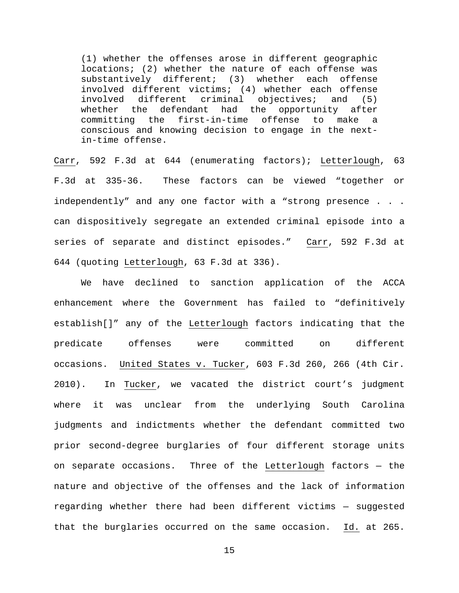(1) whether the offenses arose in different geographic locations; (2) whether the nature of each offense was substantively different; (3) whether each offense involved different victims; (4) whether each offense involved different criminal objectives; and (5)<br>whether the defendant had the opportunity after whether the defendant had the opportunity after<br>committing the first-in-time offense to make a committing the first-in-time offense to make a conscious and knowing decision to engage in the nextin-time offense.

Carr, 592 F.3d at 644 (enumerating factors); Letterlough, 63 F.3d at 335-36. These factors can be viewed "together or independently" and any one factor with a "strong presence . . . can dispositively segregate an extended criminal episode into a series of separate and distinct episodes." Carr, 592 F.3d at 644 (quoting Letterlough, 63 F.3d at 336).

We have declined to sanction application of the ACCA enhancement where the Government has failed to "definitively establish[]" any of the Letterlough factors indicating that the predicate offenses were committed on different occasions. United States v. Tucker, 603 F.3d 260, 266 (4th Cir. 2010). In Tucker, we vacated the district court's judgment where it was unclear from the underlying South Carolina judgments and indictments whether the defendant committed two prior second-degree burglaries of four different storage units on separate occasions. Three of the Letterlough factors — the nature and objective of the offenses and the lack of information regarding whether there had been different victims — suggested that the burglaries occurred on the same occasion. Id. at 265.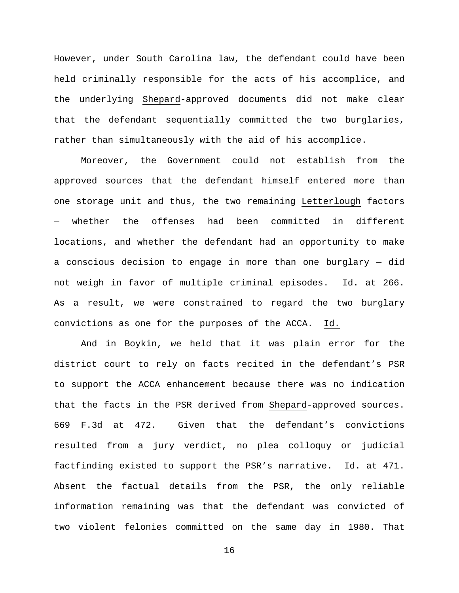However, under South Carolina law, the defendant could have been held criminally responsible for the acts of his accomplice, and the underlying Shepard-approved documents did not make clear that the defendant sequentially committed the two burglaries, rather than simultaneously with the aid of his accomplice.

Moreover, the Government could not establish from the approved sources that the defendant himself entered more than one storage unit and thus, the two remaining Letterlough factors whether the offenses had been committed in different locations, and whether the defendant had an opportunity to make a conscious decision to engage in more than one burglary — did not weigh in favor of multiple criminal episodes. Id. at 266. As a result, we were constrained to regard the two burglary convictions as one for the purposes of the ACCA. Id.

And in Boykin, we held that it was plain error for the district court to rely on facts recited in the defendant's PSR to support the ACCA enhancement because there was no indication that the facts in the PSR derived from Shepard-approved sources. 669 F.3d at 472. Given that the defendant's convictions resulted from a jury verdict, no plea colloquy or judicial factfinding existed to support the PSR's narrative. Id. at 471. Absent the factual details from the PSR, the only reliable information remaining was that the defendant was convicted of two violent felonies committed on the same day in 1980. That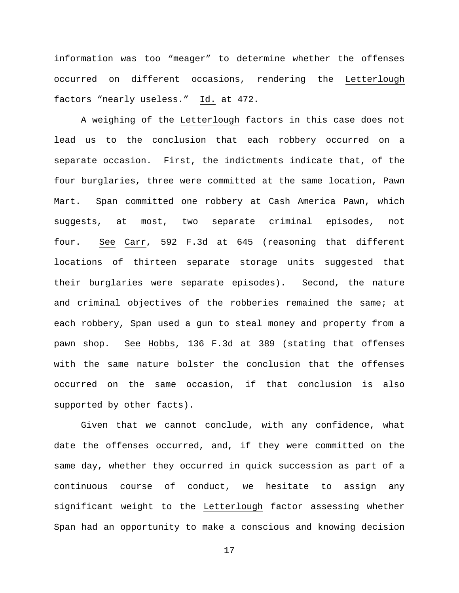information was too "meager" to determine whether the offenses occurred on different occasions, rendering the Letterlough factors "nearly useless." Id. at 472.

A weighing of the Letterlough factors in this case does not lead us to the conclusion that each robbery occurred on a separate occasion. First, the indictments indicate that, of the four burglaries, three were committed at the same location, Pawn Mart. Span committed one robbery at Cash America Pawn, which suggests, at most, two separate criminal episodes, not four. See Carr, 592 F.3d at 645 (reasoning that different locations of thirteen separate storage units suggested that their burglaries were separate episodes). Second, the nature and criminal objectives of the robberies remained the same; at each robbery, Span used a gun to steal money and property from a pawn shop. See Hobbs, 136 F.3d at 389 (stating that offenses with the same nature bolster the conclusion that the offenses occurred on the same occasion, if that conclusion is also supported by other facts).

Given that we cannot conclude, with any confidence, what date the offenses occurred, and, if they were committed on the same day, whether they occurred in quick succession as part of a continuous course of conduct, we hesitate to assign any significant weight to the Letterlough factor assessing whether Span had an opportunity to make a conscious and knowing decision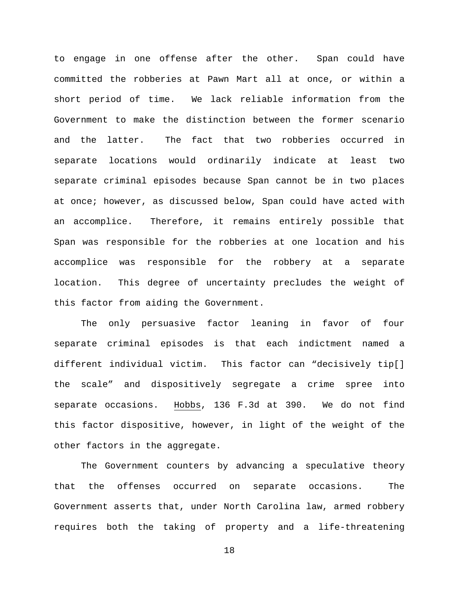to engage in one offense after the other. Span could have committed the robberies at Pawn Mart all at once, or within a short period of time. We lack reliable information from the Government to make the distinction between the former scenario and the latter. The fact that two robberies occurred in separate locations would ordinarily indicate at least two separate criminal episodes because Span cannot be in two places at once; however, as discussed below, Span could have acted with an accomplice. Therefore, it remains entirely possible that Span was responsible for the robberies at one location and his accomplice was responsible for the robbery at a separate location. This degree of uncertainty precludes the weight of this factor from aiding the Government.

The only persuasive factor leaning in favor of four separate criminal episodes is that each indictment named a different individual victim. This factor can "decisively tip[] the scale" and dispositively segregate a crime spree into separate occasions. Hobbs, 136 F.3d at 390. We do not find this factor dispositive, however, in light of the weight of the other factors in the aggregate.

The Government counters by advancing a speculative theory that the offenses occurred on separate occasions. The Government asserts that, under North Carolina law, armed robbery requires both the taking of property and a life-threatening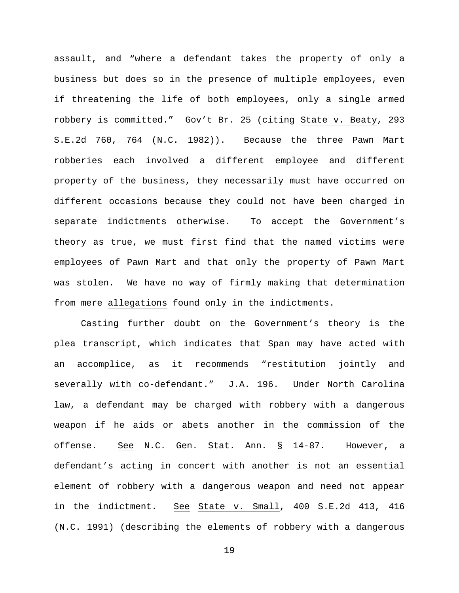assault, and "where a defendant takes the property of only a business but does so in the presence of multiple employees, even if threatening the life of both employees, only a single armed robbery is committed." Gov't Br. 25 (citing State v. Beaty, 293 S.E.2d 760, 764 (N.C. 1982)). Because the three Pawn Mart robberies each involved a different employee and different property of the business, they necessarily must have occurred on different occasions because they could not have been charged in separate indictments otherwise. To accept the Government's theory as true, we must first find that the named victims were employees of Pawn Mart and that only the property of Pawn Mart was stolen. We have no way of firmly making that determination from mere allegations found only in the indictments.

Casting further doubt on the Government's theory is the plea transcript, which indicates that Span may have acted with an accomplice, as it recommends "restitution jointly and severally with co-defendant." J.A. 196. Under North Carolina law, a defendant may be charged with robbery with a dangerous weapon if he aids or abets another in the commission of the offense. See N.C. Gen. Stat. Ann. § 14-87. However, a defendant's acting in concert with another is not an essential element of robbery with a dangerous weapon and need not appear in the indictment. See State v. Small, 400 S.E.2d 413, 416 (N.C. 1991) (describing the elements of robbery with a dangerous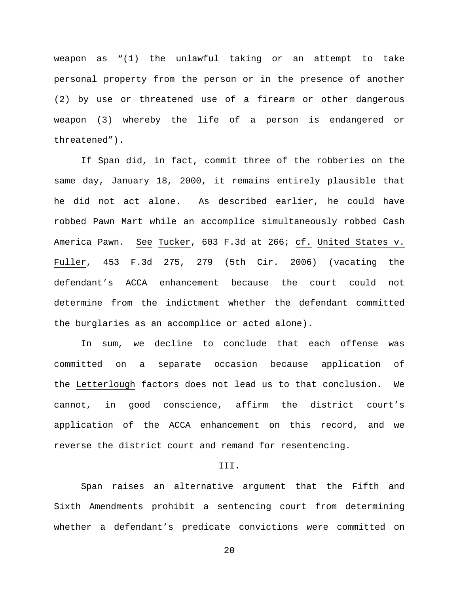weapon as "(1) the unlawful taking or an attempt to take personal property from the person or in the presence of another (2) by use or threatened use of a firearm or other dangerous weapon (3) whereby the life of a person is endangered or threatened").

If Span did, in fact, commit three of the robberies on the same day, January 18, 2000, it remains entirely plausible that he did not act alone. As described earlier, he could have robbed Pawn Mart while an accomplice simultaneously robbed Cash America Pawn. See Tucker, 603 F.3d at 266; cf. United States v. Fuller, 453 F.3d 275, 279 (5th Cir. 2006) (vacating the defendant's ACCA enhancement because the court could not determine from the indictment whether the defendant committed the burglaries as an accomplice or acted alone).

In sum, we decline to conclude that each offense was committed on a separate occasion because application of the Letterlough factors does not lead us to that conclusion. We cannot, in good conscience, affirm the district court's application of the ACCA enhancement on this record, and we reverse the district court and remand for resentencing.

### III.

Span raises an alternative argument that the Fifth and Sixth Amendments prohibit a sentencing court from determining whether a defendant's predicate convictions were committed on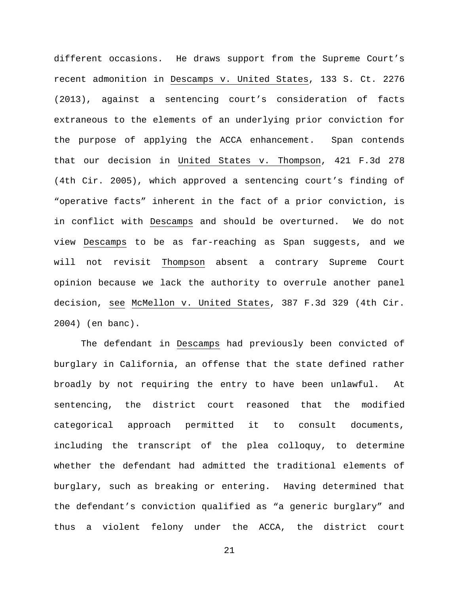different occasions. He draws support from the Supreme Court's recent admonition in Descamps v. United States, 133 S. Ct. 2276 (2013), against a sentencing court's consideration of facts extraneous to the elements of an underlying prior conviction for the purpose of applying the ACCA enhancement. Span contends that our decision in United States v. Thompson, 421 F.3d 278 (4th Cir. 2005), which approved a sentencing court's finding of "operative facts" inherent in the fact of a prior conviction, is in conflict with Descamps and should be overturned. We do not view Descamps to be as far-reaching as Span suggests, and we will not revisit Thompson absent a contrary Supreme Court opinion because we lack the authority to overrule another panel decision, see McMellon v. United States, 387 F.3d 329 (4th Cir. 2004) (en banc).

The defendant in Descamps had previously been convicted of burglary in California, an offense that the state defined rather broadly by not requiring the entry to have been unlawful. At sentencing, the district court reasoned that the modified categorical approach permitted it to consult documents, including the transcript of the plea colloquy, to determine whether the defendant had admitted the traditional elements of burglary, such as breaking or entering. Having determined that the defendant's conviction qualified as "a generic burglary" and thus a violent felony under the ACCA, the district court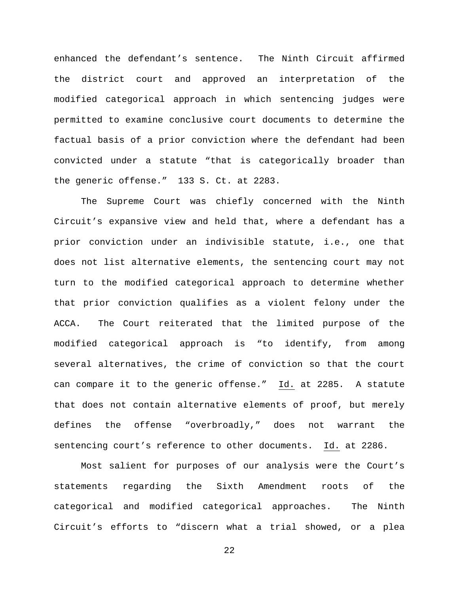enhanced the defendant's sentence. The Ninth Circuit affirmed the district court and approved an interpretation of the modified categorical approach in which sentencing judges were permitted to examine conclusive court documents to determine the factual basis of a prior conviction where the defendant had been convicted under a statute "that is categorically broader than the generic offense." 133 S. Ct. at 2283.

The Supreme Court was chiefly concerned with the Ninth Circuit's expansive view and held that, where a defendant has a prior conviction under an indivisible statute, i.e., one that does not list alternative elements, the sentencing court may not turn to the modified categorical approach to determine whether that prior conviction qualifies as a violent felony under the ACCA. The Court reiterated that the limited purpose of the modified categorical approach is "to identify, from among several alternatives, the crime of conviction so that the court can compare it to the generic offense." Id. at 2285. A statute that does not contain alternative elements of proof, but merely defines the offense "overbroadly," does not warrant the sentencing court's reference to other documents. Id. at 2286.

Most salient for purposes of our analysis were the Court's statements regarding the Sixth Amendment roots of the categorical and modified categorical approaches. The Ninth Circuit's efforts to "discern what a trial showed, or a plea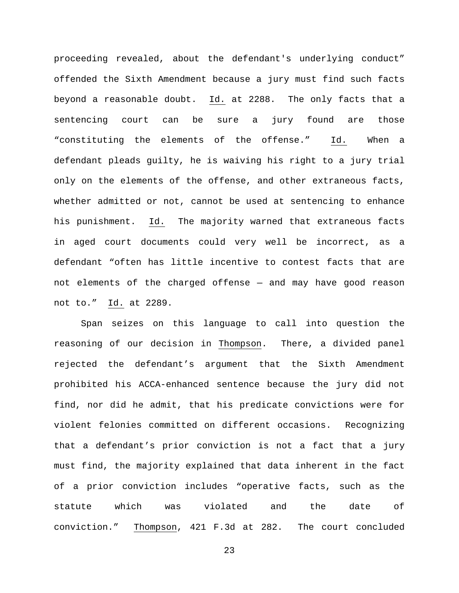proceeding revealed, about the defendant's underlying conduct" offended the Sixth Amendment because a jury must find such facts beyond a reasonable doubt. Id. at 2288. The only facts that a sentencing court can be sure a jury found are those "constituting the elements of the offense." Id. When a defendant pleads guilty, he is waiving his right to a jury trial only on the elements of the offense, and other extraneous facts, whether admitted or not, cannot be used at sentencing to enhance his punishment. Id. The majority warned that extraneous facts in aged court documents could very well be incorrect, as a defendant "often has little incentive to contest facts that are not elements of the charged offense — and may have good reason not to." Id. at 2289.

Span seizes on this language to call into question the reasoning of our decision in Thompson. There, a divided panel rejected the defendant's argument that the Sixth Amendment prohibited his ACCA-enhanced sentence because the jury did not find, nor did he admit, that his predicate convictions were for violent felonies committed on different occasions. Recognizing that a defendant's prior conviction is not a fact that a jury must find, the majority explained that data inherent in the fact of a prior conviction includes "operative facts, such as the statute which was violated and the date of conviction." Thompson, 421 F.3d at 282. The court concluded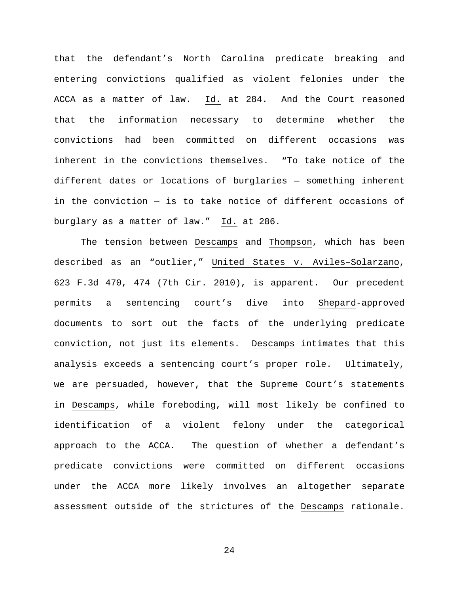that the defendant's North Carolina predicate breaking and entering convictions qualified as violent felonies under the ACCA as a matter of law. Id. at 284. And the Court reasoned that the information necessary to determine whether the convictions had been committed on different occasions was inherent in the convictions themselves. "To take notice of the different dates or locations of burglaries — something inherent in the conviction — is to take notice of different occasions of burglary as a matter of law." Id. at 286.

The tension between Descamps and Thompson, which has been described as an "outlier," United States v. Aviles–Solarzano, 623 F.3d 470, 474 (7th Cir. 2010), is apparent. Our precedent permits a sentencing court's dive into Shepard-approved documents to sort out the facts of the underlying predicate conviction, not just its elements. Descamps intimates that this analysis exceeds a sentencing court's proper role. Ultimately, we are persuaded, however, that the Supreme Court's statements in Descamps, while foreboding, will most likely be confined to identification of a violent felony under the categorical approach to the ACCA. The question of whether a defendant's predicate convictions were committed on different occasions under the ACCA more likely involves an altogether separate assessment outside of the strictures of the Descamps rationale.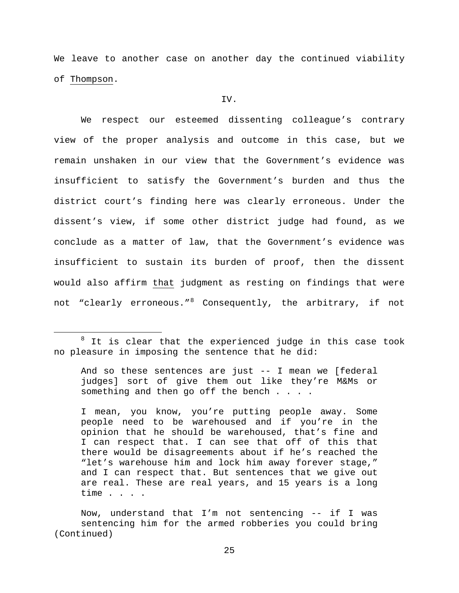We leave to another case on another day the continued viability of Thompson.

## IV.

We respect our esteemed dissenting colleague's contrary view of the proper analysis and outcome in this case, but we remain unshaken in our view that the Government's evidence was insufficient to satisfy the Government's burden and thus the district court's finding here was clearly erroneous. Under the dissent's view, if some other district judge had found, as we conclude as a matter of law, that the Government's evidence was insufficient to sustain its burden of proof, then the dissent would also affirm that judgment as resting on findings that were not "clearly erroneous."<sup>[8](#page-24-0)</sup> Consequently, the arbitrary, if not

Ĩ.

And so these sentences are just -- I mean we [federal judges] sort of give them out like they're M&Ms or something and then go off the bench . . . .

I mean, you know, you're putting people away. Some people need to be warehoused and if you're in the opinion that he should be warehoused, that's fine and I can respect that. I can see that off of this that there would be disagreements about if he's reached the "let's warehouse him and lock him away forever stage," and I can respect that. But sentences that we give out are real. These are real years, and 15 years is a long time . . . .

Now, understand that I'm not sentencing -- if I was sentencing him for the armed robberies you could bring (Continued)

<span id="page-24-0"></span> $8$  It is clear that the experienced judge in this case took no pleasure in imposing the sentence that he did: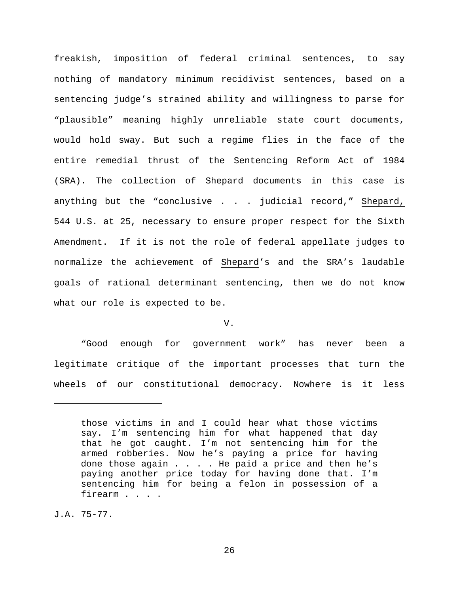freakish, imposition of federal criminal sentences, to say nothing of mandatory minimum recidivist sentences, based on a sentencing judge's strained ability and willingness to parse for "plausible" meaning highly unreliable state court documents, would hold sway. But such a regime flies in the face of the entire remedial thrust of the Sentencing Reform Act of 1984 (SRA). The collection of Shepard documents in this case is anything but the "conclusive . . . judicial record," Shepard, 544 U.S. at 25, necessary to ensure proper respect for the Sixth Amendment. If it is not the role of federal appellate judges to normalize the achievement of Shepard's and the SRA's laudable goals of rational determinant sentencing, then we do not know what our role is expected to be.

V.

"Good enough for government work" has never been a legitimate critique of the important processes that turn the wheels of our constitutional democracy. Nowhere is it less

J.A. 75-77.

ī

those victims in and I could hear what those victims say. I'm sentencing him for what happened that day that he got caught. I'm not sentencing him for the armed robberies. Now he's paying a price for having done those again . . . . He paid a price and then he's paying another price today for having done that. I'm sentencing him for being a felon in possession of a firearm . . . .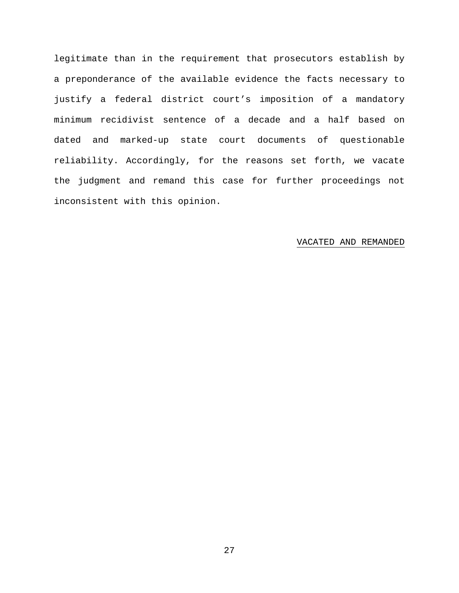legitimate than in the requirement that prosecutors establish by a preponderance of the available evidence the facts necessary to justify a federal district court's imposition of a mandatory minimum recidivist sentence of a decade and a half based on dated and marked-up state court documents of questionable reliability. Accordingly, for the reasons set forth, we vacate the judgment and remand this case for further proceedings not inconsistent with this opinion.

## VACATED AND REMANDED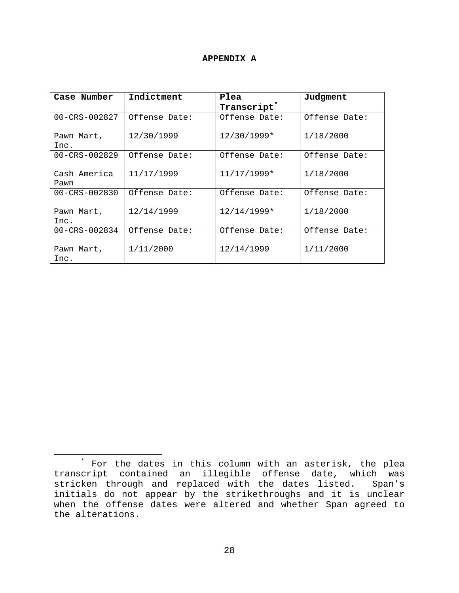# **APPENDIX A**

| Case Number          | Indictment    | Plea                    | Judgment      |
|----------------------|---------------|-------------------------|---------------|
|                      |               | Transcript <sup>*</sup> |               |
| $00 - CRS - 002827$  | Offense Date: | Offense Date:           | Offense Date: |
| Pawn Mart,<br>Inc.   | 12/30/1999    | $12/30/1999*$           | 1/18/2000     |
| $00 - CRS - 002829$  | Offense Date: | Offense Date:           | Offense Date: |
| Cash America<br>Pawn | 11/17/1999    | 11/17/1999*             | 1/18/2000     |
| 00-CRS-002830        | Offense Date: | Offense Date:           | Offense Date: |
| Pawn Mart,<br>Inc.   | 12/14/1999    | $12/14/1999*$           | 1/18/2000     |
| $00 - CRS - 002834$  | Offense Date: | Offense Date:           | Offense Date: |
| Pawn Mart,<br>Inc.   | 1/11/2000     | 12/14/1999              | 1/11/2000     |

Ĩ.

<span id="page-27-0"></span><sup>\*</sup> For the dates in this column with an asterisk, the plea transcript contained an illegible offense date, which was stricken through and replaced with the dates listed. Span's initials do not appear by the strikethroughs and it is unclear when the offense dates were altered and whether Span agreed to the alterations.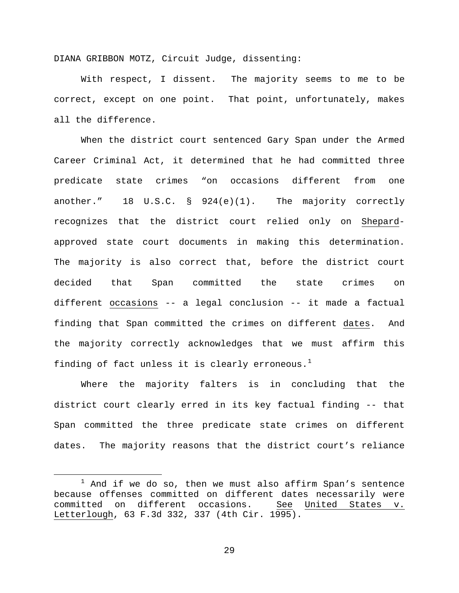DIANA GRIBBON MOTZ, Circuit Judge, dissenting:

With respect, I dissent. The majority seems to me to be correct, except on one point. That point, unfortunately, makes all the difference.

When the district court sentenced Gary Span under the Armed Career Criminal Act, it determined that he had committed three predicate state crimes "on occasions different from one another." 18 U.S.C. § 924(e)(1). The majority correctly recognizes that the district court relied only on Shepardapproved state court documents in making this determination. The majority is also correct that, before the district court decided that Span committed the state crimes on different occasions -- a legal conclusion -- it made a factual finding that Span committed the crimes on different dates. And the majority correctly acknowledges that we must affirm this finding of fact unless it is clearly erroneous.<sup>[1](#page-28-0)</sup>

Where the majority falters is in concluding that the district court clearly erred in its key factual finding -- that Span committed the three predicate state crimes on different dates. The majority reasons that the district court's reliance

Ĩ.

<span id="page-28-0"></span> $1$  And if we do so, then we must also affirm Span's sentence because offenses committed on different dates necessarily were<br>committed on different occasions. See United States v. committed on different occasions. See Letterlough, 63 F.3d 332, 337 (4th Cir. 1995).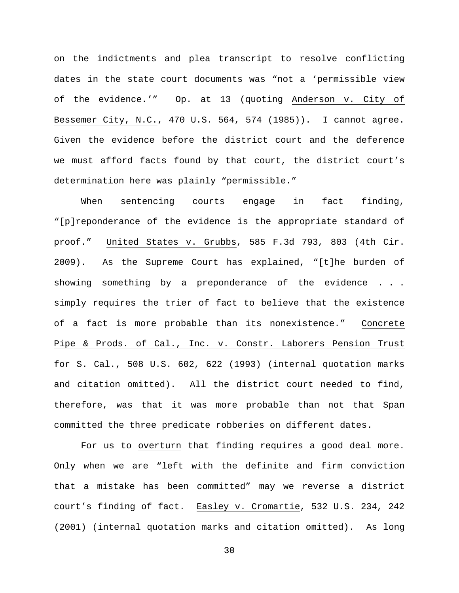on the indictments and plea transcript to resolve conflicting dates in the state court documents was "not a 'permissible view of the evidence.'" Op. at 13 (quoting Anderson v. City of Bessemer City, N.C., 470 U.S. 564, 574 (1985)). I cannot agree. Given the evidence before the district court and the deference we must afford facts found by that court, the district court's determination here was plainly "permissible."

When sentencing courts engage in fact finding, "[p]reponderance of the evidence is the appropriate standard of proof." United States v. Grubbs, 585 F.3d 793, 803 (4th Cir. 2009). As the Supreme Court has explained, "[t]he burden of showing something by a preponderance of the evidence . . . simply requires the trier of fact to believe that the existence of a fact is more probable than its nonexistence." Concrete Pipe & Prods. of Cal., Inc. v. Constr. Laborers Pension Trust for S. Cal., 508 U.S. 602, 622 (1993) (internal quotation marks and citation omitted). All the district court needed to find, therefore, was that it was more probable than not that Span committed the three predicate robberies on different dates.

For us to overturn that finding requires a good deal more. Only when we are "left with the definite and firm conviction that a mistake has been committed" may we reverse a district court's finding of fact. Easley v. Cromartie, 532 U.S. 234, 242 (2001) (internal quotation marks and citation omitted). As long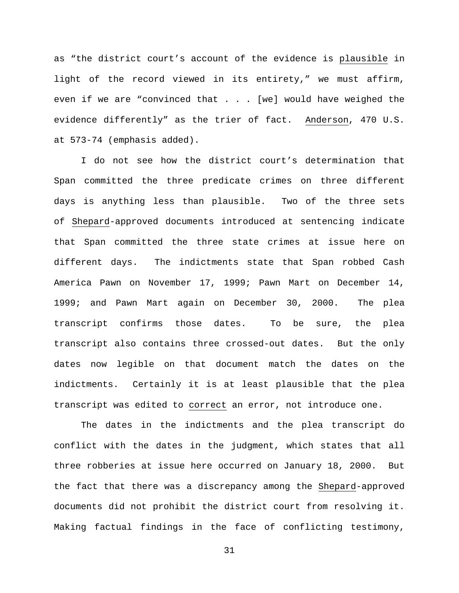as "the district court's account of the evidence is plausible in light of the record viewed in its entirety," we must affirm, even if we are "convinced that . . . [we] would have weighed the evidence differently" as the trier of fact. Anderson, 470 U.S. at 573-74 (emphasis added).

I do not see how the district court's determination that Span committed the three predicate crimes on three different days is anything less than plausible. Two of the three sets of Shepard-approved documents introduced at sentencing indicate that Span committed the three state crimes at issue here on different days. The indictments state that Span robbed Cash America Pawn on November 17, 1999; Pawn Mart on December 14, 1999; and Pawn Mart again on December 30, 2000. The plea transcript confirms those dates. To be sure, the plea transcript also contains three crossed-out dates. But the only dates now legible on that document match the dates on the indictments. Certainly it is at least plausible that the plea transcript was edited to correct an error, not introduce one.

The dates in the indictments and the plea transcript do conflict with the dates in the judgment, which states that all three robberies at issue here occurred on January 18, 2000. But the fact that there was a discrepancy among the Shepard-approved documents did not prohibit the district court from resolving it. Making factual findings in the face of conflicting testimony,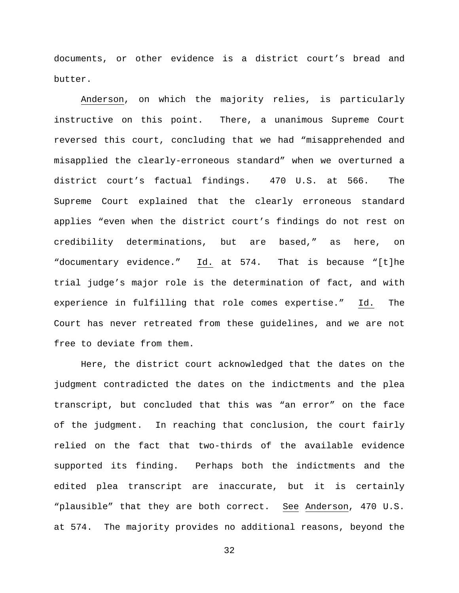documents, or other evidence is a district court's bread and butter.

Anderson, on which the majority relies, is particularly instructive on this point. There, a unanimous Supreme Court reversed this court, concluding that we had "misapprehended and misapplied the clearly-erroneous standard" when we overturned a district court's factual findings. 470 U.S. at 566. The Supreme Court explained that the clearly erroneous standard applies "even when the district court's findings do not rest on credibility determinations, but are based," as here, on "documentary evidence." Id. at 574. That is because "[t]he trial judge's major role is the determination of fact, and with experience in fulfilling that role comes expertise." Id. The Court has never retreated from these guidelines, and we are not free to deviate from them.

Here, the district court acknowledged that the dates on the judgment contradicted the dates on the indictments and the plea transcript, but concluded that this was "an error" on the face of the judgment. In reaching that conclusion, the court fairly relied on the fact that two-thirds of the available evidence supported its finding. Perhaps both the indictments and the edited plea transcript are inaccurate, but it is certainly "plausible" that they are both correct. See Anderson, 470 U.S. at 574. The majority provides no additional reasons, beyond the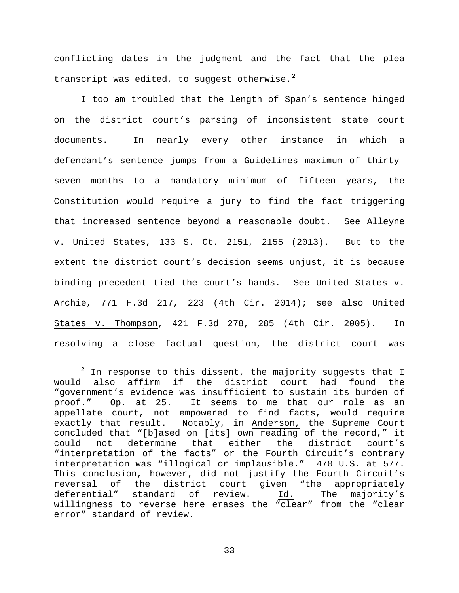conflicting dates in the judgment and the fact that the plea transcript was edited, to suggest otherwise. $^2$  $^2$ 

I too am troubled that the length of Span's sentence hinged on the district court's parsing of inconsistent state court documents. In nearly every other instance in which a defendant's sentence jumps from a Guidelines maximum of thirtyseven months to a mandatory minimum of fifteen years, the Constitution would require a jury to find the fact triggering that increased sentence beyond a reasonable doubt. See Alleyne v. United States, 133 S. Ct. 2151, 2155 (2013). But to the extent the district court's decision seems unjust, it is because binding precedent tied the court's hands. See United States v. Archie, 771 F.3d 217, 223 (4th Cir. 2014); see also United States v. Thompson, 421 F.3d 278, 285 (4th Cir. 2005). In resolving a close factual question, the district court was

<span id="page-32-0"></span> $2$  In response to this dissent, the majority suggests that I would also affirm if the district court had found the "government's evidence was insufficient to sustain its burden of<br>proof." Op. at 25. It seems to me that our role as an It seems to me that our role as an appellate court, not empowered to find facts, would require exactly that result. Notably, in Anderson, the Supreme Court concluded that "[b]ased on [its] own reading of the record," it could not determine that either the district court's "interpretation of the facts" or the Fourth Circuit's contrary interpretation was "illogical or implausible." 470 U.S. at 577. This conclusion, however, did not justify the Fourth Circuit's<br>reversal of the district court given "the appropriately reversal of the district court given "the appropriately<br>deferential" standard of review. Id. The majority's deferential" standard of review. Id. willingness to reverse here erases the "clear" from the "clear error" standard of review. ī